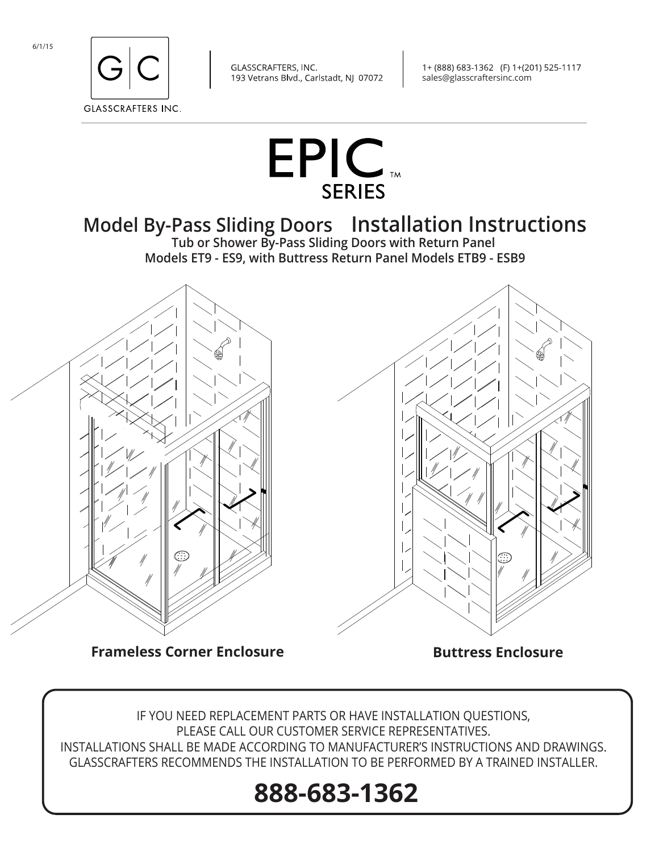



1+ (888) 683-1362 (F) 1+(201) 525-1117 sales@glasscraftersinc.com



## **Model By-Pass Sliding Doors Installation Instructions**

**Tub or Shower By-Pass Sliding Doors with Return Panel Models ET9 - ES9, with Buttress Return Panel Models ETB9 - ESB9**



IF YOU NEED REPLACEMENT PARTS OR HAVE INSTALLATION QUESTIONS, PLEASE CALL OUR CUSTOMER SERVICE REPRESENTATIVES. INSTALLATIONS SHALL BE MADE ACCORDING TO MANUFACTURER'S INSTRUCTIONS AND DRAWINGS. GLASSCRAFTERS RECOMMENDS THE INSTALLATION TO BE PERFORMED BY A TRAINED INSTALLER.

# **888-683-1362**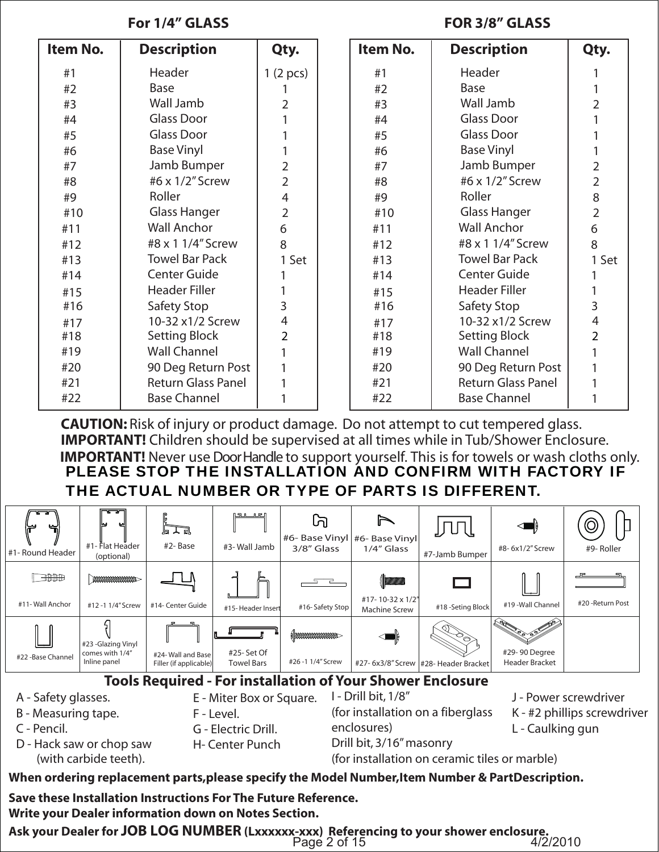## **For 1/4" GLASS FOR 3/8" GLASS**

| Item No. | <b>Description</b>        | Qty.           | Item No. | <b>Description</b>        | Qty.           |
|----------|---------------------------|----------------|----------|---------------------------|----------------|
| #1       | Header                    | 1(2 pcs)       | #1       | Header                    |                |
| #2       | Base                      |                | #2       | <b>Base</b>               |                |
| #3       | Wall Jamb                 | 2              | #3       | Wall Jamb                 | 2              |
| #4       | <b>Glass Door</b>         |                | #4       | Glass Door                |                |
| #5       | Glass Door                |                | #5       | Glass Door                |                |
| #6       | <b>Base Vinyl</b>         |                | #6       | <b>Base Vinyl</b>         |                |
| #7       | Jamb Bumper               | $\overline{2}$ | #7       | Jamb Bumper               | 2              |
| #8       | #6 x 1/2" Screw           | $\overline{2}$ | #8       | #6 x 1/2" Screw           | $\overline{2}$ |
| #9       | Roller                    | $\overline{4}$ | #9       | Roller                    | 8              |
| #10      | <b>Glass Hanger</b>       | $\overline{2}$ | #10      | <b>Glass Hanger</b>       | $\overline{2}$ |
| #11      | <b>Wall Anchor</b>        | 6              | #11      | <b>Wall Anchor</b>        | 6              |
| #12      | #8 x 1 1/4" Screw         | 8              | #12      | #8 x 1 1/4" Screw         | 8              |
| #13      | <b>Towel Bar Pack</b>     | 1 Set          | #13      | <b>Towel Bar Pack</b>     | 1 Set          |
| #14      | <b>Center Guide</b>       |                | #14      | <b>Center Guide</b>       |                |
| #15      | <b>Header Filler</b>      |                | #15      | <b>Header Filler</b>      |                |
| #16      | Safety Stop               | 3              | #16      | Safety Stop               | 3              |
| #17      | 10-32 x1/2 Screw          | 4              | #17      | 10-32 x1/2 Screw          | 4              |
| #18      | <b>Setting Block</b>      | $\overline{2}$ | #18      | <b>Setting Block</b>      | $\overline{2}$ |
| #19      | <b>Wall Channel</b>       |                | #19      | <b>Wall Channel</b>       |                |
| #20      | 90 Deg Return Post        |                | #20      | 90 Deg Return Post        |                |
| #21      | <b>Return Glass Panel</b> |                | #21      | <b>Return Glass Panel</b> |                |
| #22      | <b>Base Channel</b>       |                | #22      | <b>Base Channel</b>       |                |

**CAUTION:** Risk of injury or product damage. Do not attempt to cut tempered glass. **IMPORTANT!** Children should be supervised at all times while in Tub/Shower Enclosure. **IMPORTANT!** Never use Door Handle to support yourself. This is for towels or wash cloths only. PLEASE STOP THE INSTALLATION AND CONFIRM WITH FACTORY IF THE ACTUAL NUMBER OR TYPE OF PARTS IS DIFFERENT.



**Write your Dealer information down on Notes Section.** 

**Ask your Dealer for JOB LOG NUMBER (Lxxxxxx-xxx) Referencing to your shower enclosure.** Page 2 of 15 4/2/2010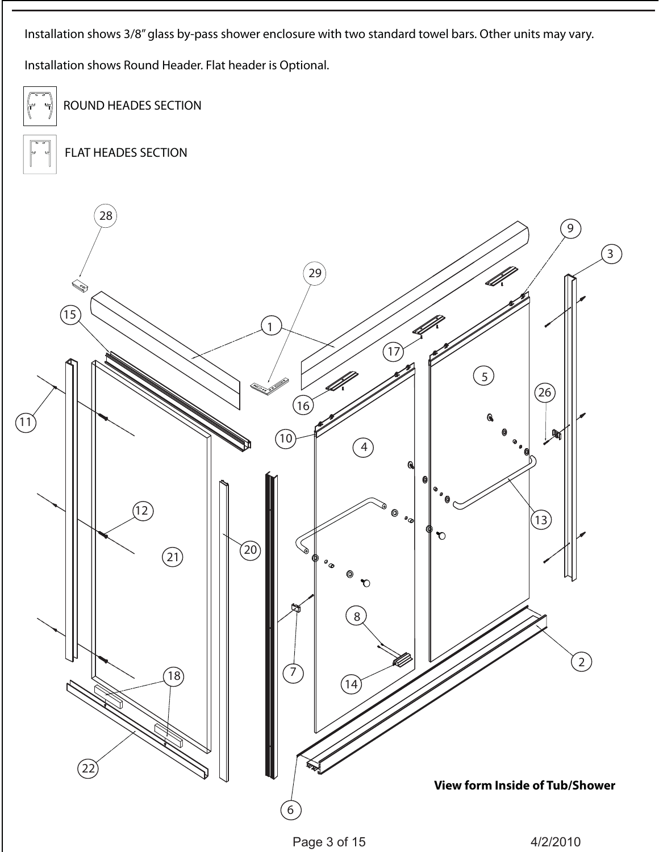Installation shows 3/8" glass by-pass shower enclosure with two standard towel bars. Other units may vary.

Installation shows Round Header. Flat header is Optional.

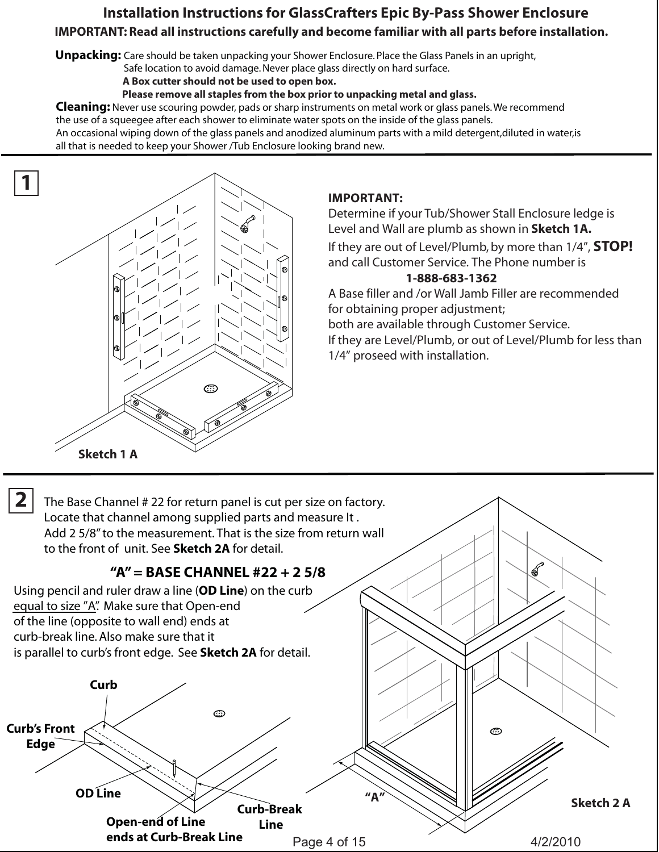## **Installation Instructions for GlassCrafters Epic By-Pass Shower Enclosure IMPORTANT: Read all instructions carefully and become familiar with all parts before installation.**

**Unpacking:** Care should be taken unpacking your Shower Enclosure. Place the Glass Panels in an upright,

Safe location to avoid damage. Never place glass directly on hard surface.

 **A Box cutter should not be used to open box.**

 **Please remove all staples from the box prior to unpacking metal and glass.**

**Cleaning:** Never use scouring powder, pads or sharp instruments on metal work or glass panels. We recommend the use of a squeegee after each shower to eliminate water spots on the inside of the glass panels. An occasional wiping down of the glass panels and anodized aluminum parts with a mild detergent,diluted in water,is

all that is needed to keep your Shower /Tub Enclosure looking brand new.



### **IMPORTANT:**

Determine if your Tub/Shower Stall Enclosure ledge is Level and Wall are plumb as shown in **Sketch 1A.**

If they are out of Level/Plumb, by more than 1/4", **STOP!** and call Customer Service. The Phone number is

#### **1-888-683-1362**

A Base filler and /or Wall Jamb Filler are recommended for obtaining proper adjustment;

both are available through Customer Service.

If they are Level/Plumb, or out of Level/Plumb for less than 1/4" proseed with installation.

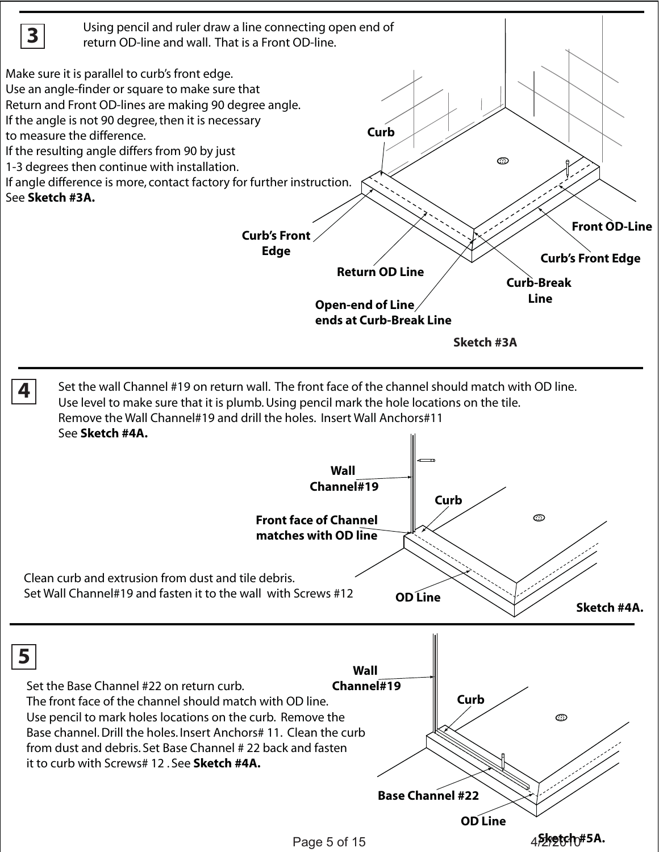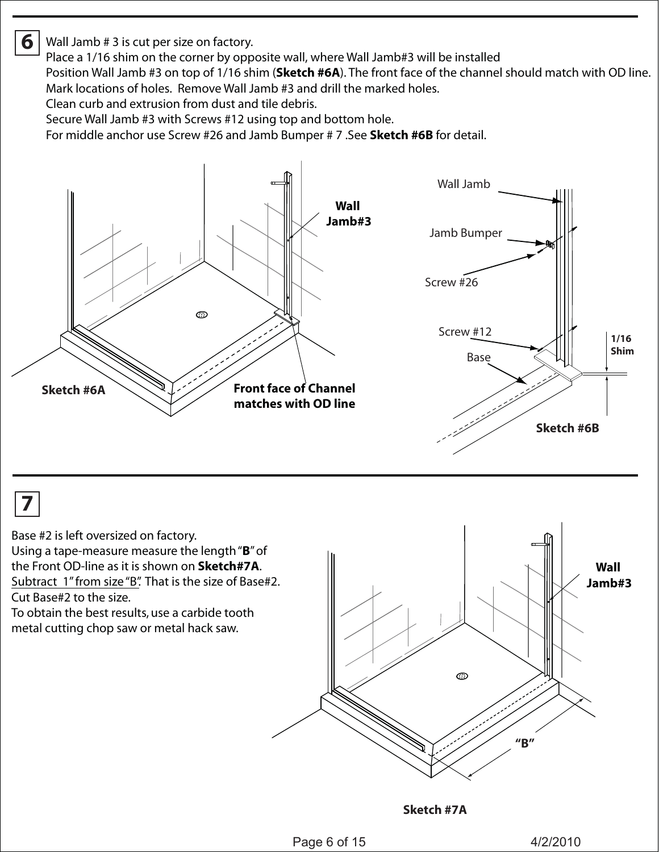## Wall Jamb # 3 is cut per size on factory.

Place a 1/16 shim on the corner by opposite wall, where Wall Jamb#3 will be installed

Position Wall Jamb #3 on top of 1/16 shim (**Sketch #6A**). The front face of the channel should match with OD line. Mark locations of holes. Remove Wall Jamb #3 and drill the marked holes.

Clean curb and extrusion from dust and tile debris.

Secure Wall Jamb #3 with Screws #12 using top and bottom hole.

For middle anchor use Screw #26 and Jamb Bumper # 7 .See **Sketch #6B** for detail.



## **7**

**6**

Base #2 is left oversized on factory.

Using a tape-measure measure the length "**B**" of the Front OD-line as it is shown on **Sketch#7A**. Subtract 1" from size "B". That is the size of Base#2. Cut Base#2 to the size.

To obtain the best results, use a carbide tooth metal cutting chop saw or metal hack saw.



**Sketch #7A**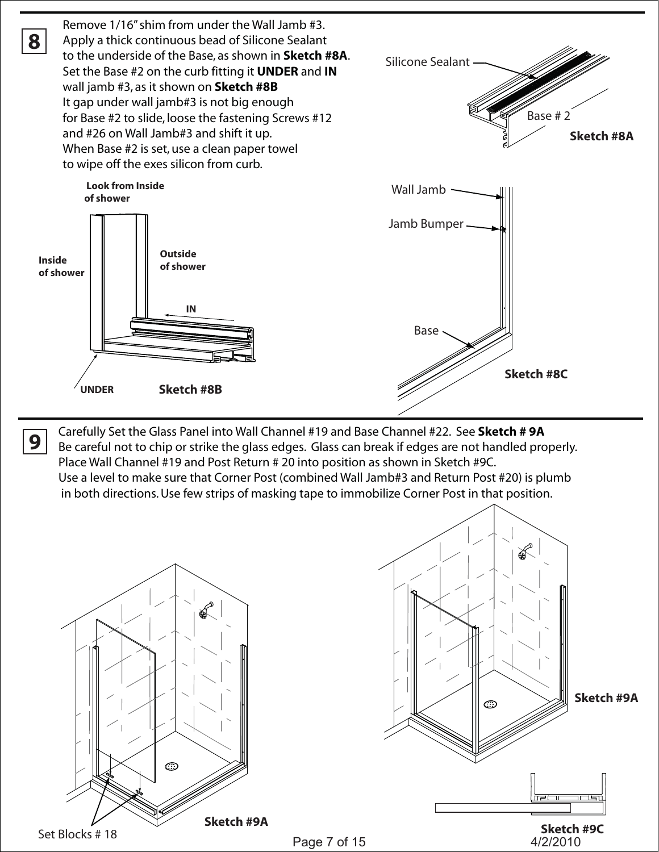

Carefully Set the Glass Panel into Wall Channel #19 and Base Channel #22. See **Sketch # 9A** Be careful not to chip or strike the glass edges. Glass can break if edges are not handled properly. Place Wall Channel #19 and Post Return # 20 into position as shown in Sketch #9C. Use a level to make sure that Corner Post (combined Wall Jamb#3 and Return Post #20) is plumb in both directions. Use few strips of masking tape to immobilize Corner Post in that position.



**9**



Page 7 of 15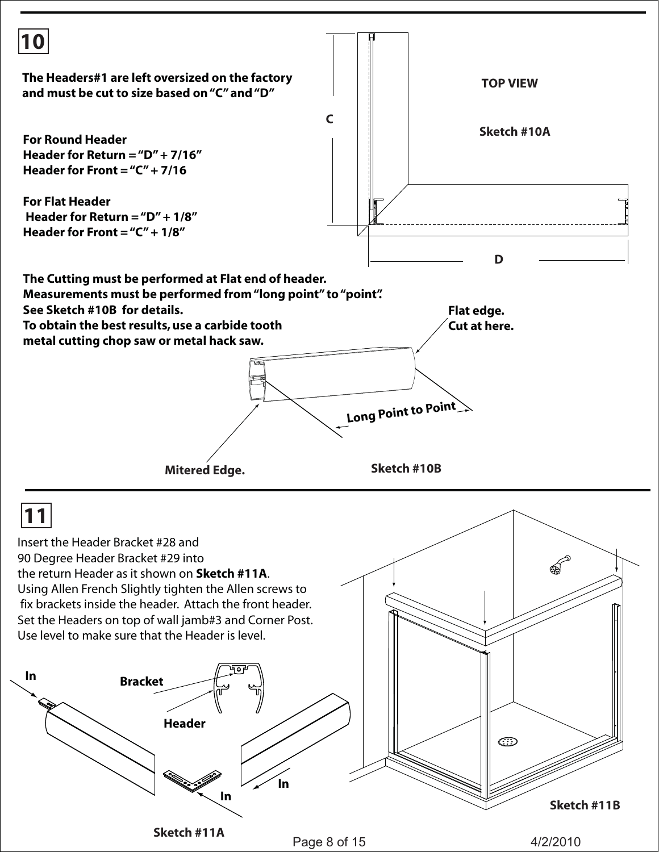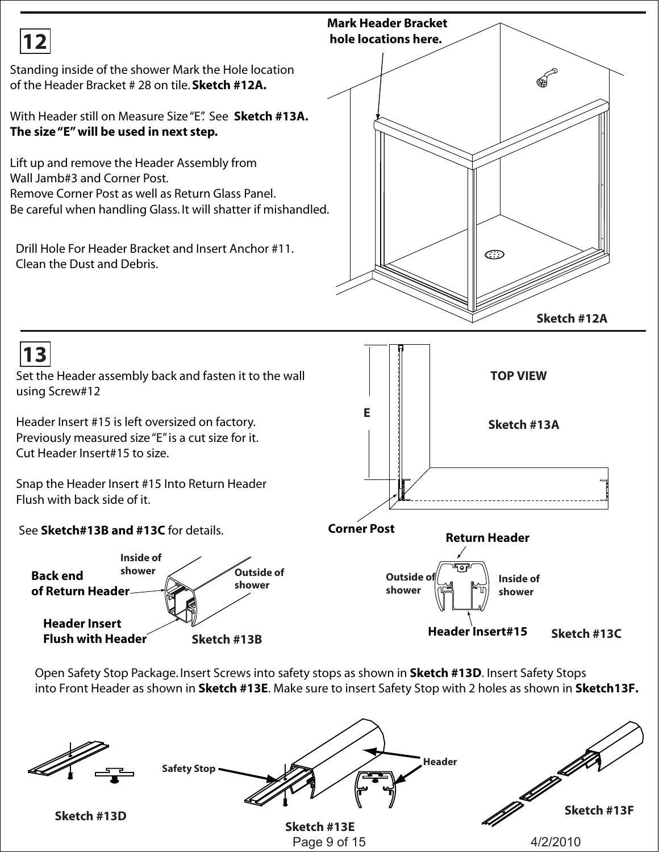

Open Safety Stop Package. Insert Screws into safety stops as shown in **Sketch #13D**. Insert Safety Stops into Front Header as shown in **Sketch #13E**. Make sure to insert Safety Stop with 2 holes as shown in **Sketch13F.** 

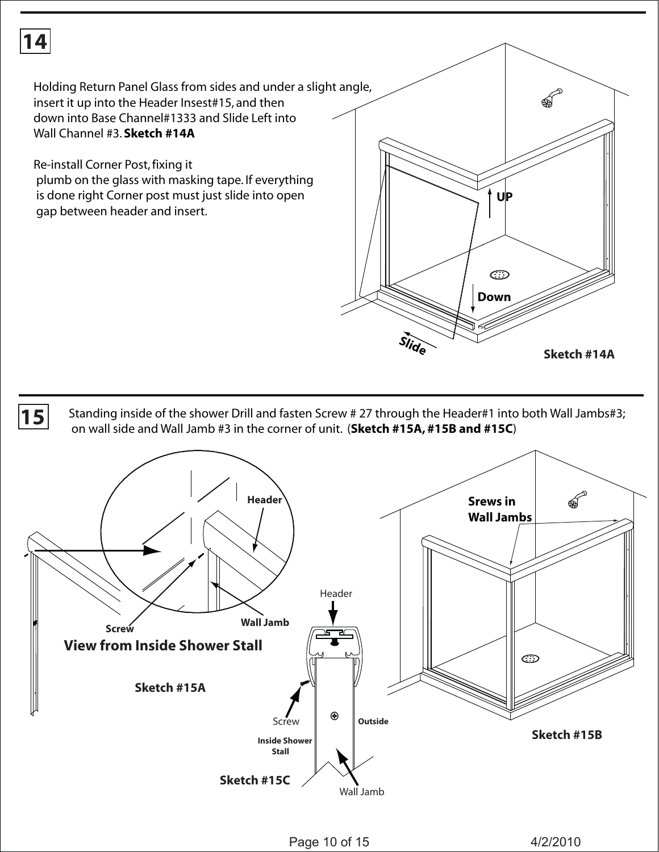

Holding Return Panel Glass from sides and under a slight angle, insert it up into the Header Insest#15, and then down into Base Channel#1333 and Slide Left into Wall Channel #3. **Sketch #14A** 

Re-install Corner Post, fixing it plumb on the glass with masking tape. If everything is done right Corner post must just slide into open gap between header and insert.



**15** Standing inside of the shower Drill and fasten Screw # 27 through the Header#1 into both Wall Jambs#3; on wall side and Wall Jamb #3 in the corner of unit. (**Sketch #15A, #15B and #15C**)

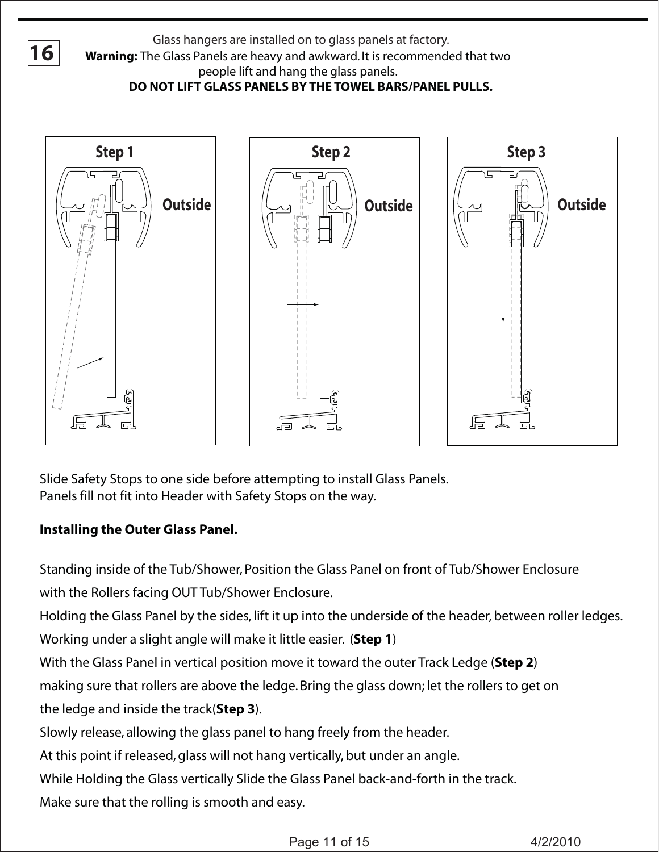



Slide Safety Stops to one side before attempting to install Glass Panels. Panels fill not fit into Header with Safety Stops on the way.

## **Installing the Outer Glass Panel.**

Standing inside of the Tub/Shower, Position the Glass Panel on front of Tub/Shower Enclosure with the Rollers facing OUT Tub/Shower Enclosure.

Holding the Glass Panel by the sides, lift it up into the underside of the header, between roller ledges.

Working under a slight angle will make it little easier. (**Step 1**)

With the Glass Panel in vertical position move it toward the outer Track Ledge (**Step 2**)

making sure that rollers are above the ledge. Bring the glass down; let the rollers to get on

the ledge and inside the track(**Step 3**).

Slowly release, allowing the glass panel to hang freely from the header.

At this point if released, glass will not hang vertically, but under an angle.

While Holding the Glass vertically Slide the Glass Panel back-and-forth in the track.

Make sure that the rolling is smooth and easy.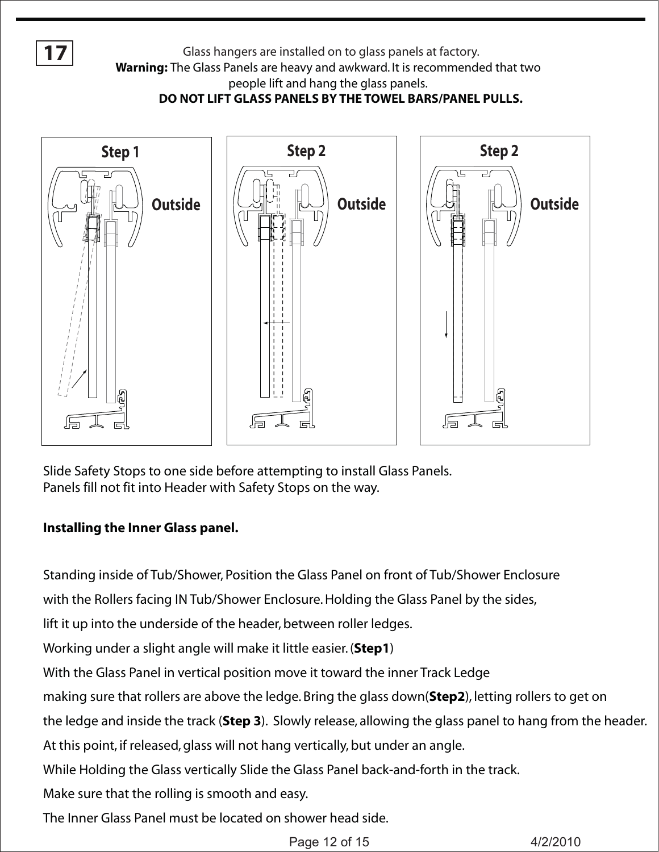**17**

Glass hangers are installed on to glass panels at factory.

**Warning:** The Glass Panels are heavy and awkward. It is recommended that two

people lift and hang the glass panels.

**DO NOT LIFT GLASS PANELS BY THE TOWEL BARS/PANEL PULLS.**



Slide Safety Stops to one side before attempting to install Glass Panels. Panels fill not fit into Header with Safety Stops on the way.

### **Installing the Inner Glass panel.**

Standing inside of Tub/Shower, Position the Glass Panel on front of Tub/Shower Enclosure with the Rollers facing IN Tub/Shower Enclosure. Holding the Glass Panel by the sides, lift it up into the underside of the header, between roller ledges.

Working under a slight angle will make it little easier. (**Step1**)

With the Glass Panel in vertical position move it toward the inner Track Ledge

making sure that rollers are above the ledge. Bring the glass down(**Step2**), letting rollers to get on

the ledge and inside the track (**Step 3**). Slowly release, allowing the glass panel to hang from the header.

At this point, if released, glass will not hang vertically, but under an angle.

While Holding the Glass vertically Slide the Glass Panel back-and-forth in the track.

Make sure that the rolling is smooth and easy.

The Inner Glass Panel must be located on shower head side.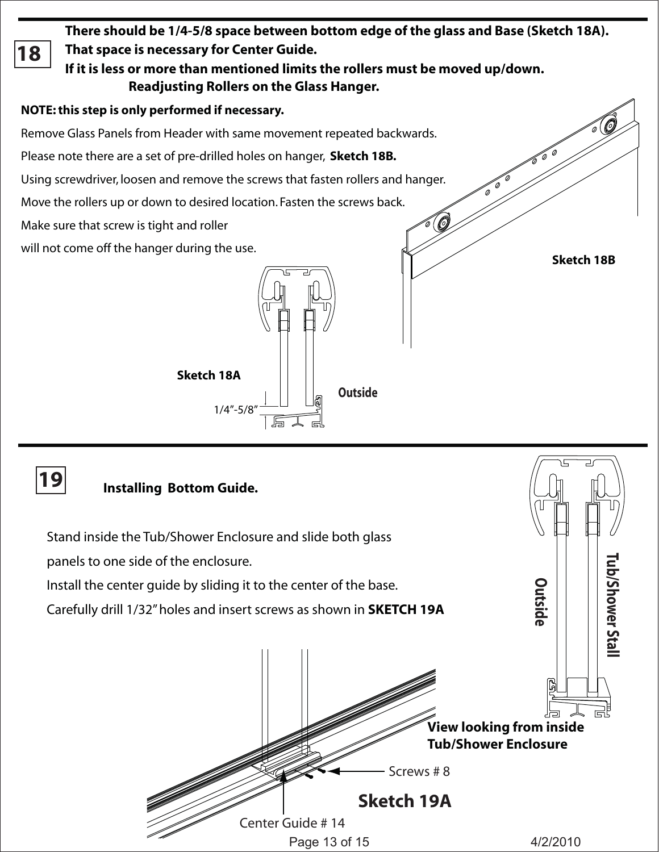**There should be 1/4-5/8 space between bottom edge of the glass and Base (Sketch 18A). That space is necessary for Center Guide. 18 If it is less or more than mentioned limits the rollers must be moved up/down. Readjusting Rollers on the Glass Hanger. NOTE: this step is only performed if necessary.**  Remove Glass Panels from Header with same movement repeated backwards. Please note there are a set of pre-drilled holes on hanger, **Sketch 18B.** Using screwdriver, loosen and remove the screws that fasten rollers and hanger. Move the rollers up or down to desired location. Fasten the screws back. 0 Make sure that screw is tight and roller will not come off the hanger during the use.<br>**Sketch 18B** 

**Outside**

**Sketch 18A**

1/4"-5/8"

**19 Outside e**r Stall **w o h S/ b u T View looking from inside Tub/Shower Enclosure** Screws # 8  **Installing Bottom Guide.** Stand inside the Tub/Shower Enclosure and slide both glass panels to one side of the enclosure. Install the center guide by sliding it to the center of the base. Carefully drill 1/32" holes and insert screws as shown in **SKETCH 19A**

> Center Guide # 14 Page 13 of 15 4/2/2010

**Sketch 19A**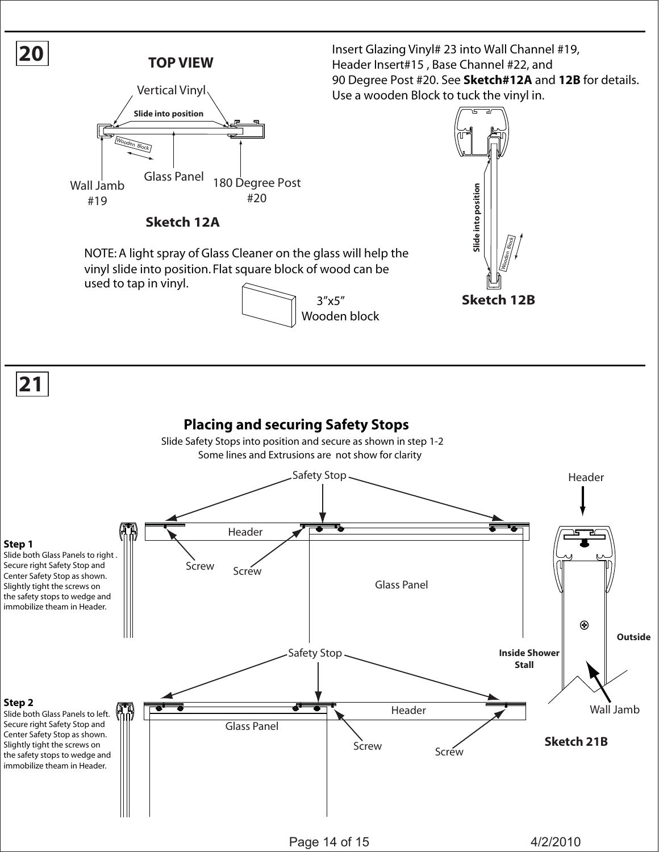